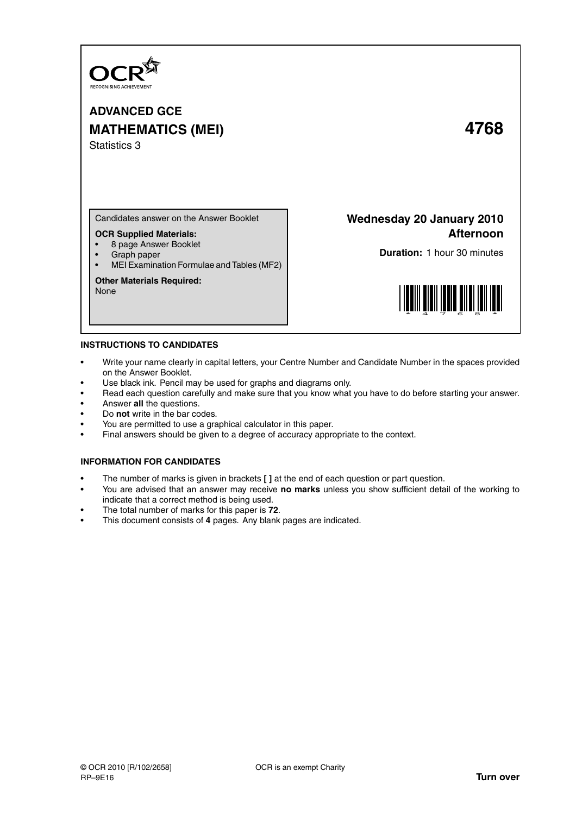

# **ADVANCED GCE MATHEMATICS (MEI) 4768** Statistics 3

Candidates answer on the Answer Booklet

## **OCR Supplied Materials:**

- 8 page Answer Booklet
- Graph paper
- MEI Examination Formulae and Tables (MF2)

## **Other Materials Required:**

None

## **Wednesday 20 January 2010 Afternoon**

**Duration:** 1 hour 30 minutes



## **INSTRUCTIONS TO CANDIDATES**

- Write your name clearly in capital letters, your Centre Number and Candidate Number in the spaces provided on the Answer Booklet.
- Use black ink. Pencil may be used for graphs and diagrams only.
- Read each question carefully and make sure that you know what you have to do before starting your answer.
- Answer **all** the questions.
- Do **not** write in the bar codes.
- You are permitted to use a graphical calculator in this paper.
- Final answers should be given to a degree of accuracy appropriate to the context.

## **INFORMATION FOR CANDIDATES**

- The number of marks is given in brackets **[ ]** at the end of each question or part question.
- You are advised that an answer may receive **no marks** unless you show sufficient detail of the working to indicate that a correct method is being used.
- The total number of marks for this paper is **72**.
- This document consists of **4** pages. Any blank pages are indicated.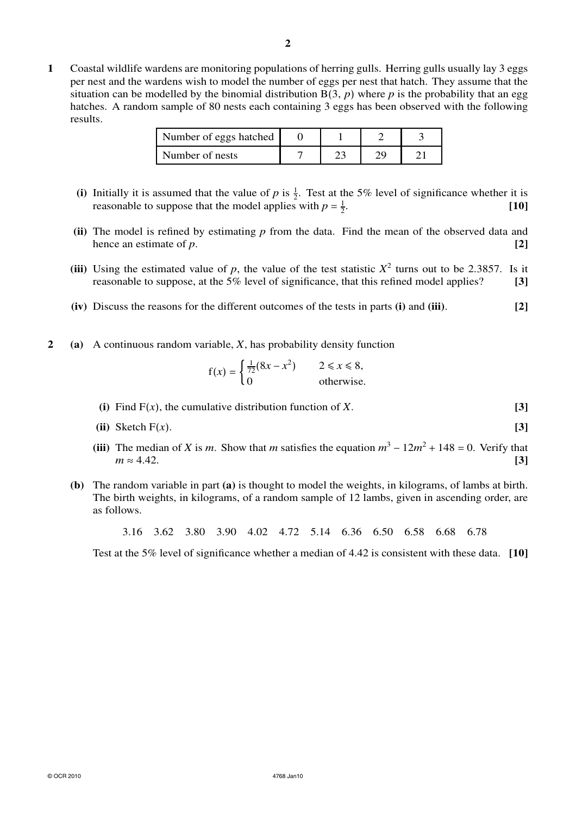**1** Coastal wildlife wardens are monitoring populations of herring gulls. Herring gulls usually lay 3 eggs per nest and the wardens wish to model the number of eggs per nest that hatch. They assume that the situation can be modelled by the binomial distribution  $B(3, p)$  where p is the probability that an egg hatches. A random sample of 80 nests each containing 3 eggs has been observed with the following results.

| Number of eggs hatched |  |  |
|------------------------|--|--|
| Number of nests        |  |  |

- (i) Initially it is assumed that the value of *p* is  $\frac{1}{2}$ . Test at the 5% level of significance whether it is reasonable to suppose that the model applies with  $p = \frac{1}{2}$ . **[10]**
- **(ii)** The model is refined by estimating *p* from the data. Find the mean of the observed data and hence an estimate of *p*.  $[2]$
- (iii) Using the estimated value of *p*, the value of the test statistic  $X^2$  turns out to be 2.3857. Is it reasonable to suppose, at the 5% level of significance, that this refined model applies? **[3]**
- **(iv)** Discuss the reasons for the different outcomes of the tests in parts **(i)** and **(iii)**. **[2]**
- **2 (a)** A continuous random variable, *X*, has probability density function

$$
f(x) = \begin{cases} \frac{1}{72}(8x - x^2) & 2 \le x \le 8, \\ 0 & \text{otherwise.} \end{cases}
$$

- **(i)** Find  $F(x)$ , the cumulative distribution function of *X*. **[3]**
- **(ii)** Sketch  $F(x)$ . **[3]**
- (iii) The median of *X* is *m*. Show that *m* satisfies the equation  $m^3 12m^2 + 148 = 0$ . Verify that  $m \approx 4.42.$  [3]
- **(b)** The random variable in part **(a)** is thought to model the weights, in kilograms, of lambs at birth. The birth weights, in kilograms, of a random sample of 12 lambs, given in ascending order, are as follows.

3.16 3.62 3.80 3.90 4.02 4.72 5.14 6.36 6.50 6.58 6.68 6.78

Test at the 5% level of significance whether a median of 4.42 is consistent with these data. **[10]**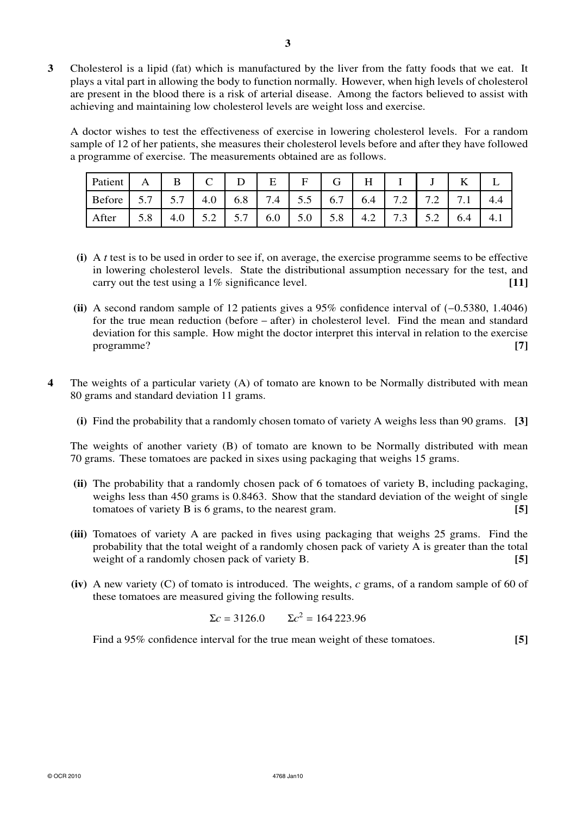**3** Cholesterol is a lipid (fat) which is manufactured by the liver from the fatty foods that we eat. It plays a vital part in allowing the body to function normally. However, when high levels of cholesterol are present in the blood there is a risk of arterial disease. Among the factors believed to assist with achieving and maintaining low cholesterol levels are weight loss and exercise.

A doctor wishes to test the effectiveness of exercise in lowering cholesterol levels. For a random sample of 12 of her patients, she measures their cholesterol levels before and after they have followed a programme of exercise. The measurements obtained are as follows.

| Patient                                            | A | B |  |  | Н |                                                                                                                                             |     |
|----------------------------------------------------|---|---|--|--|---|---------------------------------------------------------------------------------------------------------------------------------------------|-----|
| Before 5.7 5.7 4.0 6.8 7.4 5.5 6.7 6.4 7.2 7.2 7.1 |   |   |  |  |   |                                                                                                                                             | 4.4 |
| After                                              |   |   |  |  |   | $\vert$ 5.8 $\vert$ 4.0 $\vert$ 5.2 $\vert$ 5.7 $\vert$ 6.0 $\vert$ 5.0 $\vert$ 5.8 $\vert$ 4.2 $\vert$ 7.3 $\vert$ 5.2 $\vert$ 6.4 $\vert$ | 4.1 |

- **(i)** A *t* test is to be used in order to see if, on average, the exercise programme seems to be effective in lowering cholesterol levels. State the distributional assumption necessary for the test, and carry out the test using a 1% significance level. **[11]**
- **(ii)** A second random sample of 12 patients gives a 95% confidence interval of (−0.5380, 1.4046) for the true mean reduction (before − after) in cholesterol level. Find the mean and standard deviation for this sample. How might the doctor interpret this interval in relation to the exercise programme? **[7]**
- **4** The weights of a particular variety (A) of tomato are known to be Normally distributed with mean 80 grams and standard deviation 11 grams.
	- **(i)** Find the probability that a randomly chosen tomato of variety A weighs less than 90 grams. **[3]**

The weights of another variety (B) of tomato are known to be Normally distributed with mean 70 grams. These tomatoes are packed in sixes using packaging that weighs 15 grams.

- **(ii)** The probability that a randomly chosen pack of 6 tomatoes of variety B, including packaging, weighs less than 450 grams is 0.8463. Show that the standard deviation of the weight of single tomatoes of variety B is 6 grams, to the nearest gram. **[5]**
- **(iii)** Tomatoes of variety A are packed in fives using packaging that weighs 25 grams. Find the probability that the total weight of a randomly chosen pack of variety A is greater than the total weight of a randomly chosen pack of variety B. **[5] [5]**
- **(iv)** A new variety (C) of tomato is introduced. The weights, *c* grams, of a random sample of 60 of these tomatoes are measured giving the following results.

$$
\Sigma c = 3126.0
$$
  $\Sigma c^2 = 164223.96$ 

Find a 95% confidence interval for the true mean weight of these tomatoes. **[5]**